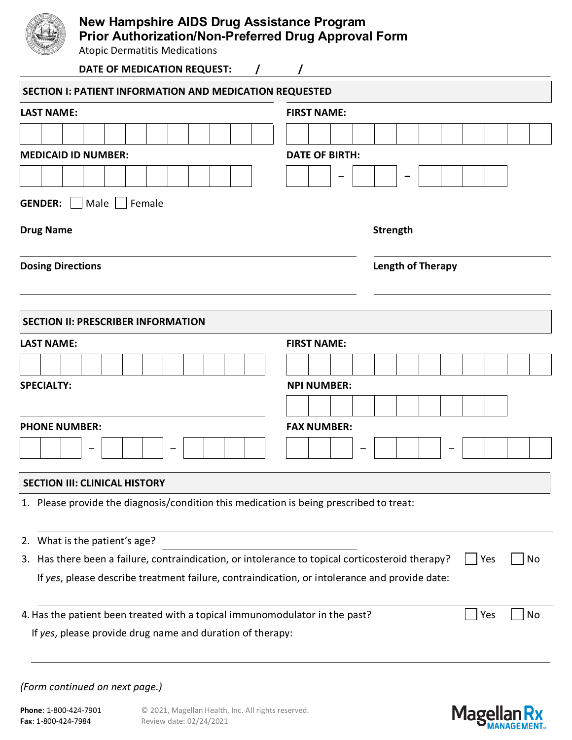

# **New Hampshire AIDS Drug Assistance Program Prior Authorization/Non-Preferred Drug Approval Form**

Atopic Dermatitis Medications

| Accepte Definitioned Integregations<br>DATE OF MEDICATION REQUEST:<br>$\prime$                                |                          |  |  |  |  |  |  |  |  |  |
|---------------------------------------------------------------------------------------------------------------|--------------------------|--|--|--|--|--|--|--|--|--|
| SECTION I: PATIENT INFORMATION AND MEDICATION REQUESTED                                                       |                          |  |  |  |  |  |  |  |  |  |
| <b>LAST NAME:</b>                                                                                             | <b>FIRST NAME:</b>       |  |  |  |  |  |  |  |  |  |
|                                                                                                               |                          |  |  |  |  |  |  |  |  |  |
| <b>MEDICAID ID NUMBER:</b>                                                                                    | <b>DATE OF BIRTH:</b>    |  |  |  |  |  |  |  |  |  |
|                                                                                                               |                          |  |  |  |  |  |  |  |  |  |
| <b>GENDER:</b><br>Male   Female                                                                               |                          |  |  |  |  |  |  |  |  |  |
| <b>Drug Name</b>                                                                                              | <b>Strength</b>          |  |  |  |  |  |  |  |  |  |
| <b>Dosing Directions</b>                                                                                      | <b>Length of Therapy</b> |  |  |  |  |  |  |  |  |  |
| <b>SECTION II: PRESCRIBER INFORMATION</b>                                                                     |                          |  |  |  |  |  |  |  |  |  |
| <b>LAST NAME:</b>                                                                                             | <b>FIRST NAME:</b>       |  |  |  |  |  |  |  |  |  |
|                                                                                                               |                          |  |  |  |  |  |  |  |  |  |
| <b>SPECIALTY:</b>                                                                                             | <b>NPI NUMBER:</b>       |  |  |  |  |  |  |  |  |  |
|                                                                                                               |                          |  |  |  |  |  |  |  |  |  |
| <b>PHONE NUMBER:</b>                                                                                          | <b>FAX NUMBER:</b>       |  |  |  |  |  |  |  |  |  |
|                                                                                                               |                          |  |  |  |  |  |  |  |  |  |
| <b>SECTION III: CLINICAL HISTORY</b>                                                                          |                          |  |  |  |  |  |  |  |  |  |
| 1. Please provide the diagnosis/condition this medication is being prescribed to treat:                       |                          |  |  |  |  |  |  |  |  |  |
| What is the patient's age?<br>2.                                                                              |                          |  |  |  |  |  |  |  |  |  |
| 3. Has there been a failure, contraindication, or intolerance to topical corticosteroid therapy?<br>No<br>Yes |                          |  |  |  |  |  |  |  |  |  |
| If yes, please describe treatment failure, contraindication, or intolerance and provide date:                 |                          |  |  |  |  |  |  |  |  |  |
| 4. Has the patient been treated with a topical immunomodulator in the past?                                   | No<br>Yes                |  |  |  |  |  |  |  |  |  |
| If yes, please provide drug name and duration of therapy:                                                     |                          |  |  |  |  |  |  |  |  |  |

### *(Form continued on next page.)*